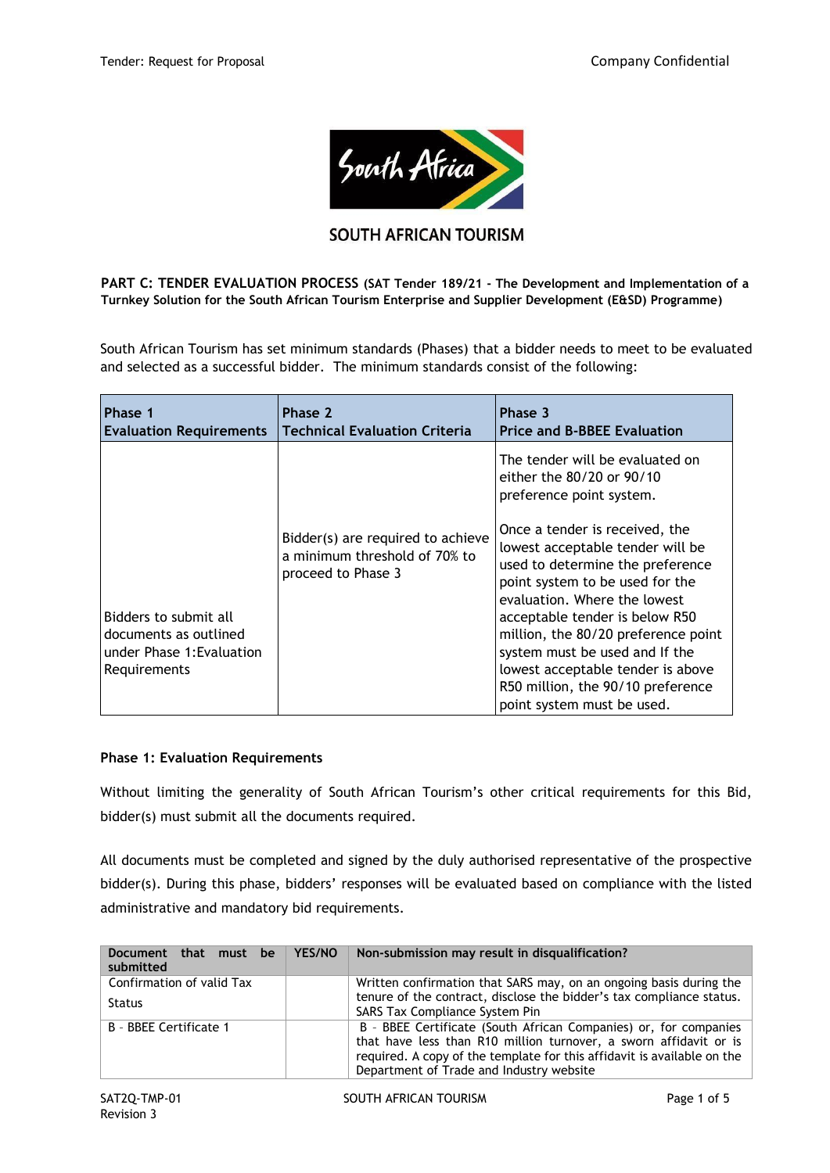

# **SOUTH AFRICAN TOURISM**

#### **PART C: TENDER EVALUATION PROCESS (SAT Tender 189/21 - The Development and Implementation of a Turnkey Solution for the South African Tourism Enterprise and Supplier Development (E&SD) Programme)**

South African Tourism has set minimum standards (Phases) that a bidder needs to meet to be evaluated and selected as a successful bidder. The minimum standards consist of the following:

| Phase 1<br><b>Evaluation Requirements</b>                                                   | Phase 2<br>  Technical Evaluation Criteria                                               | Phase 3<br><b>Price and B-BBEE Evaluation</b>                                                                                                                                                                                                                                                                                                                                                |
|---------------------------------------------------------------------------------------------|------------------------------------------------------------------------------------------|----------------------------------------------------------------------------------------------------------------------------------------------------------------------------------------------------------------------------------------------------------------------------------------------------------------------------------------------------------------------------------------------|
|                                                                                             |                                                                                          | The tender will be evaluated on<br>either the 80/20 or 90/10<br>preference point system.                                                                                                                                                                                                                                                                                                     |
| Bidders to submit all<br>documents as outlined<br>under Phase 1: Evaluation<br>Requirements | Bidder(s) are required to achieve<br>a minimum threshold of 70% to<br>proceed to Phase 3 | Once a tender is received, the<br>lowest acceptable tender will be<br>used to determine the preference<br>point system to be used for the<br>evaluation. Where the lowest<br>acceptable tender is below R50<br>million, the 80/20 preference point<br>system must be used and If the<br>lowest acceptable tender is above<br>R50 million, the 90/10 preference<br>point system must be used. |

### **Phase 1: Evaluation Requirements**

Without limiting the generality of South African Tourism's other critical requirements for this Bid, bidder(s) must submit all the documents required.

All documents must be completed and signed by the duly authorised representative of the prospective bidder(s). During this phase, bidders' responses will be evaluated based on compliance with the listed administrative and mandatory bid requirements.

| Document that must be<br>submitted | YES/NO | Non-submission may result in disqualification?                                                                                                                                                                                                               |
|------------------------------------|--------|--------------------------------------------------------------------------------------------------------------------------------------------------------------------------------------------------------------------------------------------------------------|
| Confirmation of valid Tax          |        | Written confirmation that SARS may, on an ongoing basis during the                                                                                                                                                                                           |
| <b>Status</b>                      |        | tenure of the contract, disclose the bidder's tax compliance status.<br>SARS Tax Compliance System Pin                                                                                                                                                       |
| B - BBEE Certificate 1             |        | B - BBEE Certificate (South African Companies) or, for companies<br>that have less than R10 million turnover, a sworn affidavit or is<br>required. A copy of the template for this affidavit is available on the<br>Department of Trade and Industry website |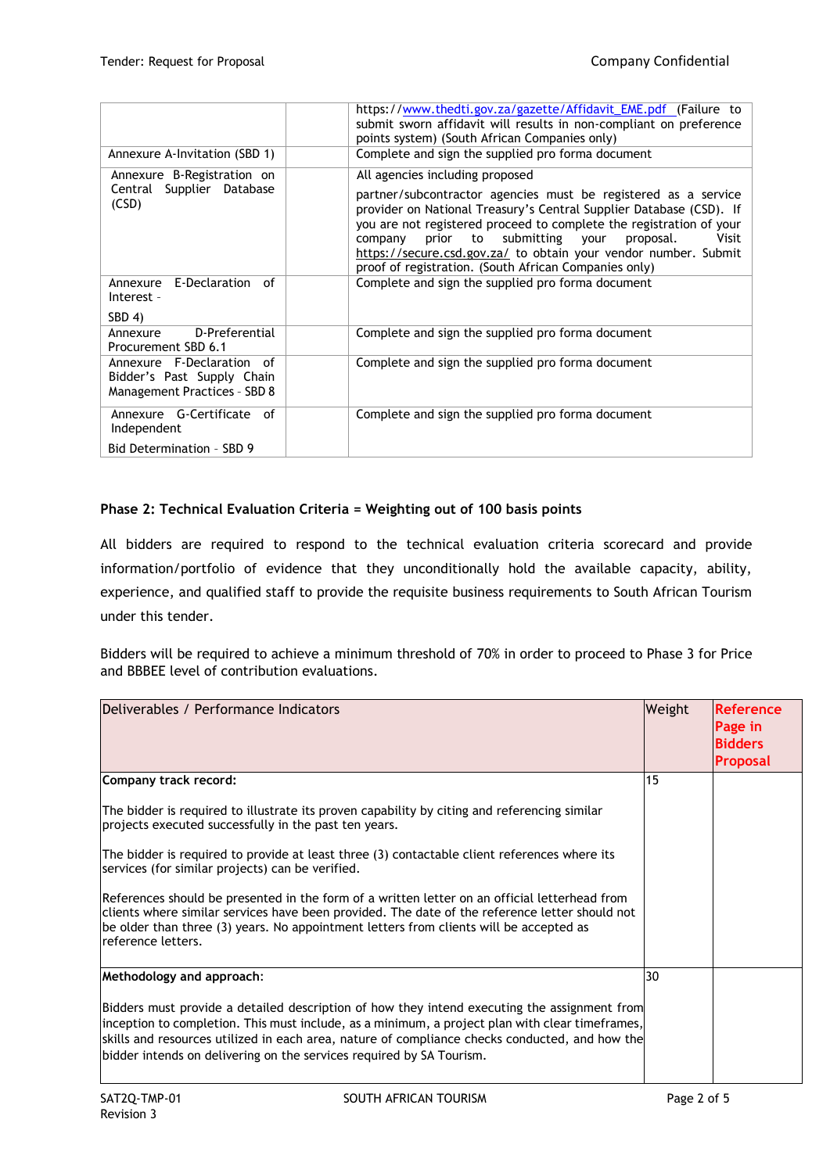| Annexure A-Invitation (SBD 1)                                                           | https://www.thedti.gov.za/gazette/Affidavit_EME.pdf (Failure to<br>submit sworn affidavit will results in non-compliant on preference<br>points system) (South African Companies only)<br>Complete and sign the supplied pro forma document                                                                                                                                                                                              |
|-----------------------------------------------------------------------------------------|------------------------------------------------------------------------------------------------------------------------------------------------------------------------------------------------------------------------------------------------------------------------------------------------------------------------------------------------------------------------------------------------------------------------------------------|
| Annexure B-Registration on<br>Central Supplier Database<br>(CSD)                        | All agencies including proposed<br>partner/subcontractor agencies must be registered as a service<br>provider on National Treasury's Central Supplier Database (CSD). If<br>you are not registered proceed to complete the registration of your<br>submitting your<br>Visit<br>company prior to<br>proposal.<br>https://secure.csd.gov.za/ to obtain your vendor number. Submit<br>proof of registration. (South African Companies only) |
| Annexure E-Declaration<br>of<br>Interest -<br>SBD 4)                                    | Complete and sign the supplied pro forma document                                                                                                                                                                                                                                                                                                                                                                                        |
| D-Preferential<br>Annexure<br>Procurement SBD 6.1                                       | Complete and sign the supplied pro forma document                                                                                                                                                                                                                                                                                                                                                                                        |
| Annexure F-Declaration of<br>Bidder's Past Supply Chain<br>Management Practices - SBD 8 | Complete and sign the supplied pro forma document                                                                                                                                                                                                                                                                                                                                                                                        |
| Annexure G-Certificate of<br>Independent                                                | Complete and sign the supplied pro forma document                                                                                                                                                                                                                                                                                                                                                                                        |
| Bid Determination - SBD 9                                                               |                                                                                                                                                                                                                                                                                                                                                                                                                                          |

## **Phase 2: Technical Evaluation Criteria = Weighting out of 100 basis points**

All bidders are required to respond to the technical evaluation criteria scorecard and provide information/portfolio of evidence that they unconditionally hold the available capacity, ability, experience, and qualified staff to provide the requisite business requirements to South African Tourism under this tender.

Bidders will be required to achieve a minimum threshold of 70% in order to proceed to Phase 3 for Price and BBBEE level of contribution evaluations.

| Deliverables / Performance Indicators                                                                                                                                                                                                                                                                                                                                     | Weight | <b>Reference</b><br>Page in<br><b>Bidders</b><br>Proposal |
|---------------------------------------------------------------------------------------------------------------------------------------------------------------------------------------------------------------------------------------------------------------------------------------------------------------------------------------------------------------------------|--------|-----------------------------------------------------------|
| Company track record:                                                                                                                                                                                                                                                                                                                                                     | 15     |                                                           |
| The bidder is required to illustrate its proven capability by citing and referencing similar<br>projects executed successfully in the past ten years.                                                                                                                                                                                                                     |        |                                                           |
| The bidder is required to provide at least three (3) contactable client references where its<br>services (for similar projects) can be verified.                                                                                                                                                                                                                          |        |                                                           |
| References should be presented in the form of a written letter on an official letterhead from<br>clients where similar services have been provided. The date of the reference letter should not<br>be older than three (3) years. No appointment letters from clients will be accepted as<br>Ireference letters.                                                          |        |                                                           |
| Methodology and approach:                                                                                                                                                                                                                                                                                                                                                 | 30     |                                                           |
| Bidders must provide a detailed description of how they intend executing the assignment from<br>inception to completion. This must include, as a minimum, a project plan with clear timeframes,<br>skills and resources utilized in each area, nature of compliance checks conducted, and how the<br>bidder intends on delivering on the services required by SA Tourism. |        |                                                           |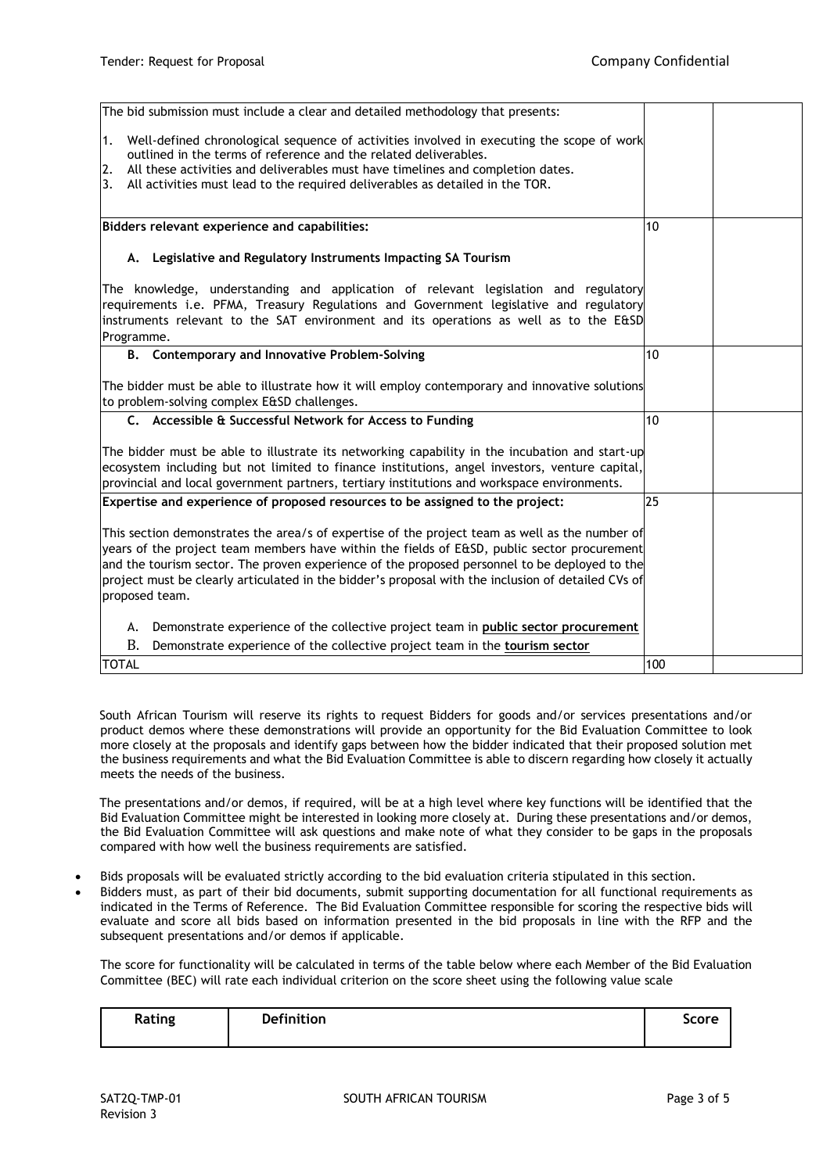| The bid submission must include a clear and detailed methodology that presents:                                                                                                                                                                                                                                                                                                                                        |     |
|------------------------------------------------------------------------------------------------------------------------------------------------------------------------------------------------------------------------------------------------------------------------------------------------------------------------------------------------------------------------------------------------------------------------|-----|
| Well-defined chronological sequence of activities involved in executing the scope of work<br>1.<br>outlined in the terms of reference and the related deliverables.<br>All these activities and deliverables must have timelines and completion dates.<br>2.                                                                                                                                                           |     |
| All activities must lead to the required deliverables as detailed in the TOR.<br>3.                                                                                                                                                                                                                                                                                                                                    |     |
| Bidders relevant experience and capabilities:                                                                                                                                                                                                                                                                                                                                                                          | 10  |
| A. Legislative and Regulatory Instruments Impacting SA Tourism                                                                                                                                                                                                                                                                                                                                                         |     |
| The knowledge, understanding and application of relevant legislation and regulatory<br>requirements i.e. PFMA, Treasury Regulations and Government legislative and regulatory<br>instruments relevant to the SAT environment and its operations as well as to the E&SD<br>Programme.                                                                                                                                   |     |
| B. Contemporary and Innovative Problem-Solving                                                                                                                                                                                                                                                                                                                                                                         | 10  |
| The bidder must be able to illustrate how it will employ contemporary and innovative solutions<br>to problem-solving complex E&SD challenges.                                                                                                                                                                                                                                                                          |     |
| C. Accessible & Successful Network for Access to Funding                                                                                                                                                                                                                                                                                                                                                               | 10  |
| The bidder must be able to illustrate its networking capability in the incubation and start-up<br>ecosystem including but not limited to finance institutions, angel investors, venture capital,<br>provincial and local government partners, tertiary institutions and workspace environments.                                                                                                                        |     |
| Expertise and experience of proposed resources to be assigned to the project:                                                                                                                                                                                                                                                                                                                                          | 25  |
| This section demonstrates the area/s of expertise of the project team as well as the number of<br>years of the project team members have within the fields of E&SD, public sector procurement<br>and the tourism sector. The proven experience of the proposed personnel to be deployed to the<br>project must be clearly articulated in the bidder's proposal with the inclusion of detailed CVs of<br>proposed team. |     |
| Demonstrate experience of the collective project team in public sector procurement<br>А.                                                                                                                                                                                                                                                                                                                               |     |
| B.<br>Demonstrate experience of the collective project team in the tourism sector                                                                                                                                                                                                                                                                                                                                      |     |
| <b>TOTAL</b>                                                                                                                                                                                                                                                                                                                                                                                                           | 100 |

South African Tourism will reserve its rights to request Bidders for goods and/or services presentations and/or product demos where these demonstrations will provide an opportunity for the Bid Evaluation Committee to look more closely at the proposals and identify gaps between how the bidder indicated that their proposed solution met the business requirements and what the Bid Evaluation Committee is able to discern regarding how closely it actually meets the needs of the business.

The presentations and/or demos, if required, will be at a high level where key functions will be identified that the Bid Evaluation Committee might be interested in looking more closely at. During these presentations and/or demos, the Bid Evaluation Committee will ask questions and make note of what they consider to be gaps in the proposals compared with how well the business requirements are satisfied.

- Bids proposals will be evaluated strictly according to the bid evaluation criteria stipulated in this section.
- Bidders must, as part of their bid documents, submit supporting documentation for all functional requirements as indicated in the Terms of Reference. The Bid Evaluation Committee responsible for scoring the respective bids will evaluate and score all bids based on information presented in the bid proposals in line with the RFP and the subsequent presentations and/or demos if applicable.

The score for functionality will be calculated in terms of the table below where each Member of the Bid Evaluation Committee (BEC) will rate each individual criterion on the score sheet using the following value scale

| <b>Rating</b> | <b>Definition</b> | $\epsilon$   |
|---------------|-------------------|--------------|
| <u></u>       |                   | <b>PLOTE</b> |
|               |                   |              |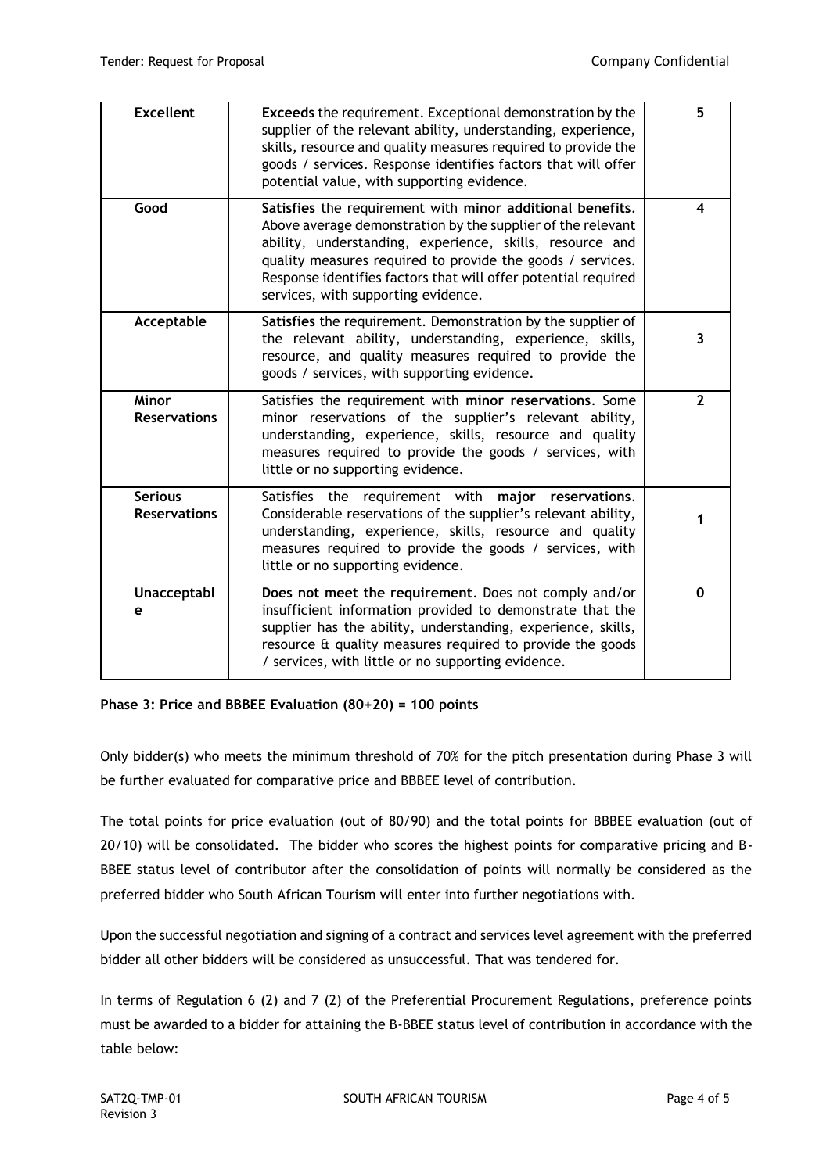| <b>Excellent</b>                      | <b>Exceeds</b> the requirement. Exceptional demonstration by the<br>supplier of the relevant ability, understanding, experience,<br>skills, resource and quality measures required to provide the<br>goods / services. Response identifies factors that will offer<br>potential value, with supporting evidence.                                            | 5            |
|---------------------------------------|-------------------------------------------------------------------------------------------------------------------------------------------------------------------------------------------------------------------------------------------------------------------------------------------------------------------------------------------------------------|--------------|
| Good                                  | Satisfies the requirement with minor additional benefits.<br>Above average demonstration by the supplier of the relevant<br>ability, understanding, experience, skills, resource and<br>quality measures required to provide the goods / services.<br>Response identifies factors that will offer potential required<br>services, with supporting evidence. | 4            |
| Acceptable                            | Satisfies the requirement. Demonstration by the supplier of<br>the relevant ability, understanding, experience, skills,<br>resource, and quality measures required to provide the<br>goods / services, with supporting evidence.                                                                                                                            | 3            |
| Minor<br><b>Reservations</b>          | Satisfies the requirement with minor reservations. Some<br>minor reservations of the supplier's relevant ability,<br>understanding, experience, skills, resource and quality<br>measures required to provide the goods / services, with<br>little or no supporting evidence.                                                                                | $\mathbf{2}$ |
| <b>Serious</b><br><b>Reservations</b> | Satisfies the requirement with<br>major reservations.<br>Considerable reservations of the supplier's relevant ability,<br>understanding, experience, skills, resource and quality<br>measures required to provide the goods / services, with<br>little or no supporting evidence.                                                                           | 1            |
| Unacceptabl<br>е                      | Does not meet the requirement. Does not comply and/or<br>insufficient information provided to demonstrate that the<br>supplier has the ability, understanding, experience, skills,<br>resource & quality measures required to provide the goods<br>/ services, with little or no supporting evidence.                                                       | 0            |

## **Phase 3: Price and BBBEE Evaluation (80+20) = 100 points**

Only bidder(s) who meets the minimum threshold of 70% for the pitch presentation during Phase 3 will be further evaluated for comparative price and BBBEE level of contribution.

The total points for price evaluation (out of 80/90) and the total points for BBBEE evaluation (out of 20/10) will be consolidated. The bidder who scores the highest points for comparative pricing and B-BBEE status level of contributor after the consolidation of points will normally be considered as the preferred bidder who South African Tourism will enter into further negotiations with.

Upon the successful negotiation and signing of a contract and services level agreement with the preferred bidder all other bidders will be considered as unsuccessful. That was tendered for.

In terms of Regulation 6 (2) and 7 (2) of the Preferential Procurement Regulations, preference points must be awarded to a bidder for attaining the B-BBEE status level of contribution in accordance with the table below: